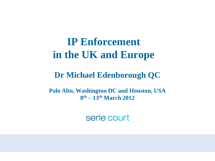## **IP Enforcement in the UK and Europe**

#### **Dr Michael Edenborough QC**

**Palo Alto, Washington DC and Houston, USA 8 th – 13th March 2012**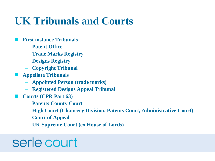## **UK Tribunals and Courts**

- **First instance Tribunals**
	- **Patent Office**
	- **Trade Marks Registry**
	- **Designs Registry**
	- **Copyright Tribunal**
- **Appellate Tribunals**
	- **Appointed Person (trade marks)**
	- **Registered Designs Appeal Tribunal**
- **Courts (CPR Part 63)**
	- **Patents County Court**
	- **High Court (Chancery Division, Patents Court, Administrative Court)**
	- **Court of Appeal**
	- **UK Supreme Court (ex House of Lords)**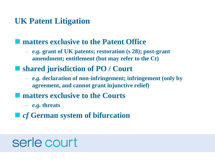#### **UK Patent Litigation**

#### $\blacksquare$  matters exclusive to the Patent Office

– *e.g.* **grant of UK patents; restoration (s 28); post-grant amendment; entitlement (but may refer to the Ct)**

#### ■ shared jurisdiction of PO / Court

- *e.g.* **declaration of non-infringement; infringement (only by agreement, and cannot grant injunctive relief)**
- $\blacksquare$  matters exclusive to the Courts
	- *e.g.* **threats**
- *cf* **German system of bifurcation**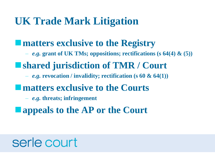## **UK Trade Mark Litigation**

#### **matters exclusive to the Registry**

– *e.g.* **grant of UK TMs; oppositions; rectifications (s 64(4) & (5))**

### **shared jurisdiction of TMR / Court**

– *e.g.* **revocation / invalidity; rectification (s 60 & 64(1))**

#### **matters exclusive to the Courts**

- *e.g.* **threats; infringement**
- **appeals to the AP or the Court**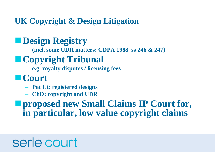**UK Copyright & Design Litigation**

### **Design Registry**

– **(incl. some UDR matters: CDPA 1988 ss 246 & 247)**

### **Copyright Tribunal**

– **e.g. royalty disputes / licensing fees**

### **Court**

- **Pat Ct: registered designs**
- **ChD: copyright and UDR**

**proposed new Small Claims IP Court for, in particular, low value copyright claims**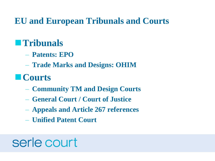**EU and European Tribunals and Courts**

### **Tribunals**

- **Patents: EPO**
- **Trade Marks and Designs: OHIM**

## **Courts**

- **Community TM and Design Courts**
- **General Court / Court of Justice**
- **Appeals and Article 267 references**
- **Unified Patent Court**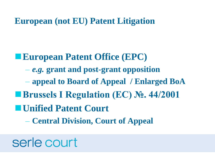**European (not EU) Patent Litigation**

**European Patent Office (EPC)** – *e.g.* **grant and post-grant opposition** – **appeal to Board of Appeal / Enlarged BoA Brussels I Regulation (EC) №. 44/2001 Unified Patent Court**

– **Central Division, Court of Appeal**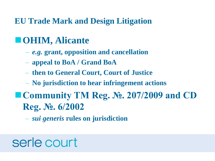#### **EU Trade Mark and Design Litigation**

### **OHIM, Alicante**

- *e.g.* **grant, opposition and cancellation**
- **appeal to BoA / Grand BoA**
- **then to General Court, Court of Justice**
- **No jurisdiction to hear infringement actions**
- **Community TM Reg. №. 207/2009 and CD Reg. №. 6/2002**
	- *sui generis* **rules on jurisdiction**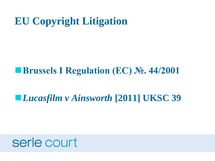## **EU Copyright Litigation**

#### **Brussels I Regulation (EC) №. 44/2001**

### *Lucasfilm v Ainsworth* **[2011] UKSC 39**